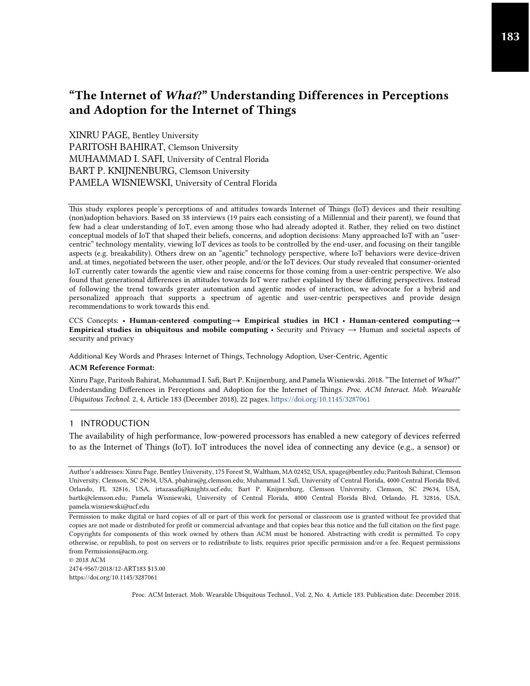XINRU PAGE, Bentley University PARITOSH BAHIRAT, Clemson University MUHAMMAD I. SAFI, University of Central Florida BART P. KNIJNENBURG, Clemson University PAMELA WISNIEWSKI, University of Central Florida

This study explores people's perceptions of and attitudes towards Internet of Things (IoT) devices and their resulting (non)adoption behaviors. Based on 38 interviews (19 pairs each consisting of a Millennial and their parent), we found that few had a clear understanding of IoT, even among those who had already adopted it. Rather, they relied on two distinct conceptual models of IoT that shaped their beliefs, concerns, and adoption decisions: Many approached IoT with an "usercentric" technology mentality, viewing IoT devices as tools to be controlled by the end-user, and focusing on their tangible aspects (e.g. breakability). Others drew on an "agentic" technology perspective, where IoT behaviors were device-driven and, at times, negotiated between the user, other people, and/or the IoT devices. Our study revealed that consumer-oriented IoT currently cater towards the agentic view and raise concerns for those coming from a user-centric perspective. We also found that generational differences in attitudes towards IoT were rather explained by these differing perspectives. Instead of following the trend towards greater automation and agentic modes of interaction, we advocate for a hybrid and personalized approach that supports a spectrum of agentic and user-centric perspectives and provide design recommendations to work towards this end.

CCS Concepts: • Human-centered computing→ Empirical studies in HCI • Human-centered computing→ Empirical studies in ubiquitous and mobile computing  $\cdot$  Security and Privacy  $\rightarrow$  Human and societal aspects of security and privacy

Additional Key Words and Phrases: Internet of Things, Technology Adoption, User-Centric, Agentic

#### ACM Reference Format:

Xinru Page, Paritosh Bahirat, Mohammad I. Safi, Bart P. Knijnenburg, and Pamela Wisniewski. 2018. "The Internet of *What*?" Understanding Differences in Perceptions and Adoption for the Internet of Things. *Proc. ACM Interact. Mob. Wearable Ubiquitous Technol*. 2, 4, Article 183 (December 2018), 22 pages. https://doi.org/10.1145/3287061

# 1 INTRODUCTION

The availability of high performance, low-powered processors has enabled a new category of devices referred to as the Internet of Things (IoT). IoT introduces the novel idea of connecting any device (e.g., a sensor) or

Author's addresses: Xinru Page, Bentley University, 175 Forest St, Waltham, MA 02452, USA, xpage@bentley.edu; Paritosh Bahirat, Clemson University, Clemson, SC 29634, USA, pbahira@g.clemson.edu; Muhammad I. Safi, University of Central Florida, 4000 Central Florida Blvd, Orlando, FL 32816, USA, irtazasafi@knights.ucf.edu; Bart P. Knijnenburg, Clemson University, Clemson, SC 29634, USA, bartk@clemson.edu; Pamela Wisniewski, University of Central Florida, 4000 Central Florida Blvd, Orlando, FL 32816, USA, pamela.wisniewski@ucf.edu

Permission to make digital or hard copies of all or part of this work for personal or classroom use is granted without fee provided that copies are not made or distributed for profit or commercial advantage and that copies bear this notice and the full citation on the first page. Copyrights for components of this work owned by others than ACM must be honored. Abstracting with credit is permitted. To copy otherwise, or republish, to post on servers or to redistribute to lists, requires prior specific permission and/or a fee. Request permissions from Permissions@acm.org.

© 2018 ACM 2474-9567/2018/12-ART183 \$15.00 https://doi.org/10.1145/3287061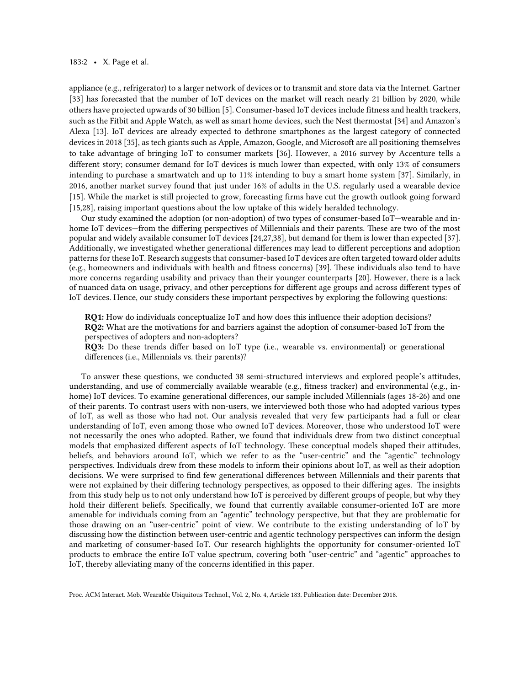## 183:2 • X. Page et al.

appliance (e.g., refrigerator) to a larger network of devices or to transmit and store data via the Internet. Gartner [33] has forecasted that the number of IoT devices on the market will reach nearly 21 billion by 2020, while others have projected upwards of 30 billion [5]. Consumer-based IoT devices include fitness and health trackers, such as the Fitbit and Apple Watch, as well as smart home devices, such the Nest thermostat [34] and Amazon's Alexa [13]. IoT devices are already expected to dethrone smartphones as the largest category of connected devices in 2018 [35], as tech giants such as Apple, Amazon, Google, and Microsoft are all positioning themselves to take advantage of bringing IoT to consumer markets [36]. However, a 2016 survey by Accenture tells a different story; consumer demand for IoT devices is much lower than expected, with only 13% of consumers intending to purchase a smartwatch and up to 11% intending to buy a smart home system [37]. Similarly, in 2016, another market survey found that just under 16% of adults in the U.S. regularly used a wearable device [15]. While the market is still projected to grow, forecasting firms have cut the growth outlook going forward [15,28], raising important questions about the low uptake of this widely heralded technology.

Our study examined the adoption (or non-adoption) of two types of consumer-based IoT—wearable and inhome IoT devices—from the differing perspectives of Millennials and their parents. These are two of the most popular and widely available consumer IoT devices [24,27,38], but demand for them is lower than expected [37]. Additionally, we investigated whether generational differences may lead to different perceptions and adoption patterns for these IoT. Research suggests that consumer-based IoT devices are often targeted toward older adults (e.g., homeowners and individuals with health and fitness concerns) [39]. These individuals also tend to have more concerns regarding usability and privacy than their younger counterparts [20]. However, there is a lack of nuanced data on usage, privacy, and other perceptions for different age groups and across different types of IoT devices. Hence, our study considers these important perspectives by exploring the following questions:

RQ1: How do individuals conceptualize IoT and how does this influence their adoption decisions? RQ2: What are the motivations for and barriers against the adoption of consumer-based IoT from the perspectives of adopters and non-adopters?

RQ3: Do these trends differ based on IoT type (i.e., wearable vs. environmental) or generational differences (i.e., Millennials vs. their parents)?

To answer these questions, we conducted 38 semi-structured interviews and explored people's attitudes, understanding, and use of commercially available wearable (e.g., fitness tracker) and environmental (e.g., inhome) IoT devices. To examine generational differences, our sample included Millennials (ages 18-26) and one of their parents. To contrast users with non-users, we interviewed both those who had adopted various types of IoT, as well as those who had not. Our analysis revealed that very few participants had a full or clear understanding of IoT, even among those who owned IoT devices. Moreover, those who understood IoT were not necessarily the ones who adopted. Rather, we found that individuals drew from two distinct conceptual models that emphasized different aspects of IoT technology. These conceptual models shaped their attitudes, beliefs, and behaviors around IoT, which we refer to as the "user-centric" and the "agentic" technology perspectives. Individuals drew from these models to inform their opinions about IoT, as well as their adoption decisions. We were surprised to find few generational differences between Millennials and their parents that were not explained by their differing technology perspectives, as opposed to their differing ages. The insights from this study help us to not only understand how IoT is perceived by different groups of people, but why they hold their different beliefs. Specifically, we found that currently available consumer-oriented IoT are more amenable for individuals coming from an "agentic" technology perspective, but that they are problematic for those drawing on an "user-centric" point of view. We contribute to the existing understanding of IoT by discussing how the distinction between user-centric and agentic technology perspectives can inform the design and marketing of consumer-based IoT. Our research highlights the opportunity for consumer-oriented IoT products to embrace the entire IoT value spectrum, covering both "user-centric" and "agentic" approaches to IoT, thereby alleviating many of the concerns identified in this paper.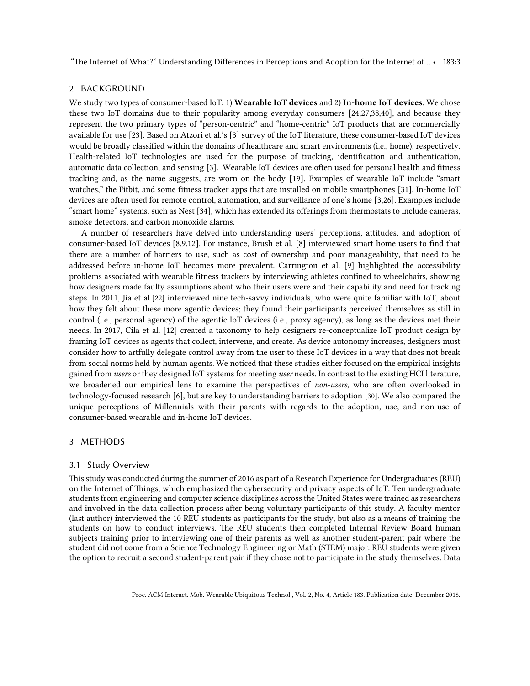# 2 BACKGROUND

We study two types of consumer-based IoT: 1) **Wearable IoT devices** and 2) **In-home IoT devices**. We chose these two IoT domains due to their popularity among everyday consumers [24,27,38,40], and because they represent the two primary types of "person-centric" and "home-centric" IoT products that are commercially available for use [23]. Based on Atzori et al.'s [3] survey of the IoT literature, these consumer-based IoT devices would be broadly classified within the domains of healthcare and smart environments (i.e., home), respectively. Health-related IoT technologies are used for the purpose of tracking, identification and authentication, automatic data collection, and sensing [3]. Wearable IoT devices are often used for personal health and fitness tracking and, as the name suggests, are worn on the body [19]. Examples of wearable IoT include "smart watches," the Fitbit, and some fitness tracker apps that are installed on mobile smartphones [31]. In-home IoT devices are often used for remote control, automation, and surveillance of one's home [3,26]. Examples include "smart home" systems, such as Nest [34], which has extended its offerings from thermostats to include cameras, smoke detectors, and carbon monoxide alarms.

A number of researchers have delved into understanding users' perceptions, attitudes, and adoption of consumer-based IoT devices [8,9,12]. For instance, Brush et al. [8] interviewed smart home users to find that there are a number of barriers to use, such as cost of ownership and poor manageability, that need to be addressed before in-home IoT becomes more prevalent. Carrington et al. [9] highlighted the accessibility problems associated with wearable fitness trackers by interviewing athletes confined to wheelchairs, showing how designers made faulty assumptions about who their users were and their capability and need for tracking steps. In 2011, Jia et al.[22] interviewed nine tech-savvy individuals, who were quite familiar with IoT, about how they felt about these more agentic devices; they found their participants perceived themselves as still in control (i.e., personal agency) of the agentic IoT devices (i.e., proxy agency), as long as the devices met their needs. In 2017, Cila et al. [12] created a taxonomy to help designers re-conceptualize IoT product design by framing IoT devices as agents that collect, intervene, and create. As device autonomy increases, designers must consider how to artfully delegate control away from the user to these IoT devices in a way that does not break from social norms held by human agents. We noticed that these studies either focused on the empirical insights gained from *users* or they designed IoT systems for meeting *user* needs. In contrast to the existing HCI literature, we broadened our empirical lens to examine the perspectives of *non-users*, who are often overlooked in technology-focused research [6], but are key to understanding barriers to adoption [30]. We also compared the unique perceptions of Millennials with their parents with regards to the adoption, use, and non-use of consumer-based wearable and in-home IoT devices.

# 3 METHODS

#### 3.1 Study Overview

This study was conducted during the summer of 2016 as part of a Research Experience for Undergraduates (REU) on the Internet of Things, which emphasized the cybersecurity and privacy aspects of IoT. Ten undergraduate students from engineering and computer science disciplines across the United States were trained as researchers and involved in the data collection process after being voluntary participants of this study. A faculty mentor (last author) interviewed the 10 REU students as participants for the study, but also as a means of training the students on how to conduct interviews. The REU students then completed Internal Review Board human subjects training prior to interviewing one of their parents as well as another student-parent pair where the student did not come from a Science Technology Engineering or Math (STEM) major. REU students were given the option to recruit a second student-parent pair if they chose not to participate in the study themselves. Data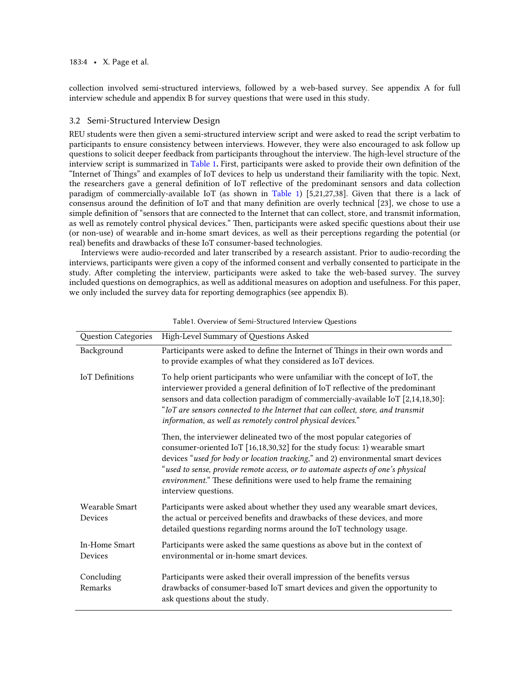### 183:4 • X. Page et al.

collection involved semi-structured interviews, followed by a web-based survey. See appendix A for full interview schedule and appendix B for survey questions that were used in this study.

## 3.2 Semi-Structured Interview Design

REU students were then given a semi-structured interview script and were asked to read the script verbatim to participants to ensure consistency between interviews. However, they were also encouraged to ask follow up questions to solicit deeper feedback from participants throughout the interview. The high-level structure of the interview script is summarized in [Table 1](#page-3-0). First, participants were asked to provide their own definition of the "Internet of Things" and examples of IoT devices to help us understand their familiarity with the topic. Next, the researchers gave a general definition of IoT reflective of the predominant sensors and data collection paradigm of commercially-available IoT (as shown in [Table 1\)](#page-3-0) [5,21,27,38]. Given that there is a lack of consensus around the definition of IoT and that many definition are overly technical [23], we chose to use a simple definition of "sensors that are connected to the Internet that can collect, store, and transmit information, as well as remotely control physical devices." Then, participants were asked specific questions about their use (or non-use) of wearable and in-home smart devices, as well as their perceptions regarding the potential (or real) benefits and drawbacks of these IoT consumer-based technologies.

Interviews were audio-recorded and later transcribed by a research assistant. Prior to audio-recording the interviews, participants were given a copy of the informed consent and verbally consented to participate in the study. After completing the interview, participants were asked to take the web-based survey. The survey included questions on demographics, as well as additional measures on adoption and usefulness. For this paper, we only included the survey data for reporting demographics (see appendix B).

<span id="page-3-0"></span>

| Question Categories       | High-Level Summary of Questions Asked                                                                                                                                                                                                                                                                                                                                                                                        |
|---------------------------|------------------------------------------------------------------------------------------------------------------------------------------------------------------------------------------------------------------------------------------------------------------------------------------------------------------------------------------------------------------------------------------------------------------------------|
| Background                | Participants were asked to define the Internet of Things in their own words and<br>to provide examples of what they considered as IoT devices.                                                                                                                                                                                                                                                                               |
| <b>IoT</b> Definitions    | To help orient participants who were unfamiliar with the concept of IoT, the<br>interviewer provided a general definition of IoT reflective of the predominant<br>sensors and data collection paradigm of commercially-available IoT [2,14,18,30]:<br>"IoT are sensors connected to the Internet that can collect, store, and transmit<br>information, as well as remotely control physical devices."                        |
|                           | Then, the interviewer delineated two of the most popular categories of<br>consumer-oriented IoT [16,18,30,32] for the study focus: 1) wearable smart<br>devices "used for body or location tracking," and 2) environmental smart devices<br>"used to sense, provide remote access, or to automate aspects of one's physical<br>environment." These definitions were used to help frame the remaining<br>interview questions. |
| Wearable Smart<br>Devices | Participants were asked about whether they used any wearable smart devices,<br>the actual or perceived benefits and drawbacks of these devices, and more<br>detailed questions regarding norms around the IoT technology usage.                                                                                                                                                                                              |
| In-Home Smart<br>Devices  | Participants were asked the same questions as above but in the context of<br>environmental or in-home smart devices.                                                                                                                                                                                                                                                                                                         |
| Concluding<br>Remarks     | Participants were asked their overall impression of the benefits versus<br>drawbacks of consumer-based IoT smart devices and given the opportunity to<br>ask questions about the study.                                                                                                                                                                                                                                      |

Table1. Overview of Semi-Structured Interview Questions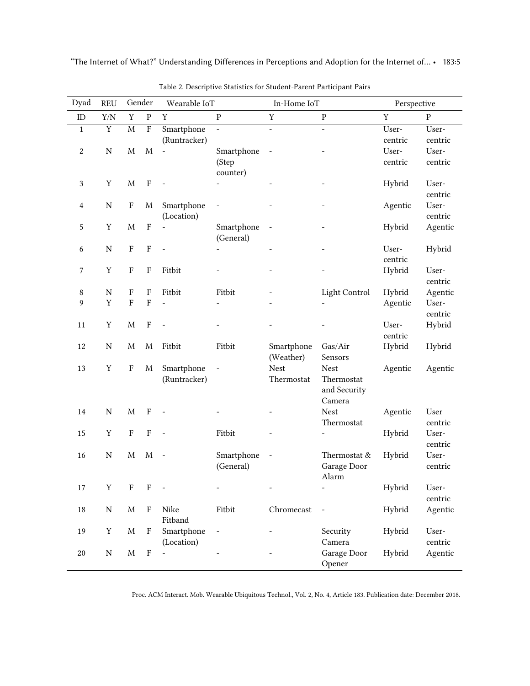<span id="page-4-0"></span>

| Dyad           | <b>REU</b>  |                | Gender         | Wearable IoT                 |                          | In-Home IoT             |                             | Perspective      |                  |
|----------------|-------------|----------------|----------------|------------------------------|--------------------------|-------------------------|-----------------------------|------------------|------------------|
| $\rm ID$       | Y/N         | $\mathbf Y$    | ${\bf P}$      | $\mathbf Y$                  | ${\bf P}$                | $\mathbf Y$             | ${\bf P}$                   | $\mathbf Y$      | ${\bf P}$        |
| $\mathbf{1}$   | $\mathbf Y$ | $\overline{M}$ | $\overline{F}$ | Smartphone                   | $\overline{\phantom{0}}$ |                         |                             | User-            | User-            |
|                |             |                |                | (Runtracker)                 |                          |                         |                             | centric          | centric          |
| $\sqrt{2}$     | ${\bf N}$   | $\mathbf M$    | $\mathbf{M}$   |                              | Smartphone               |                         |                             | User-            | User-            |
|                |             |                |                |                              | (Step<br>counter)        |                         |                             | centric          | centric          |
| $\mathbf{3}$   | $\mathbf Y$ | ${\bf M}$      | $\mathbf F$    | $\qquad \qquad \blacksquare$ |                          |                         |                             | Hybrid           | User-<br>centric |
| $\overline{4}$ | ${\bf N}$   | ${\bf F}$      | ${\bf M}$      | Smartphone<br>(Location)     | $\qquad \qquad -$        |                         |                             | Agentic          | User-<br>centric |
| $\,$ 5 $\,$    | $\mathbf Y$ | $\mathbf M$    | $\mathbf F$    |                              | Smartphone<br>(General)  |                         |                             | Hybrid           | Agentic          |
| 6              | $\mathbf N$ | ${\bf F}$      | $\mathbf F$    | $\overline{a}$               |                          |                         |                             | User-            | Hybrid           |
|                |             |                |                |                              |                          |                         |                             | centric          |                  |
| $\overline{7}$ | $\mathbf Y$ | ${\bf F}$      | $\mathbf F$    | Fitbit                       |                          |                         |                             | Hybrid           | User-            |
|                |             |                |                |                              |                          |                         |                             |                  | centric          |
| 8              | N           | ${\bf F}$      | ${\bf F}$      | Fitbit                       | Fitbit                   |                         | Light Control               | Hybrid           | Agentic          |
| 9              | $\mathbf Y$ | ${\bf F}$      | $\mathbf F$    | $\overline{a}$               |                          |                         |                             | Agentic          | User-            |
|                |             |                |                |                              |                          |                         |                             |                  | centric          |
| 11             | $\mathbf Y$ | ${\bf M}$      | ${\bf F}$      | $\frac{1}{2}$                |                          |                         |                             | User-<br>centric | Hybrid           |
| 12             | ${\bf N}$   | M              | M              | Fitbit                       | Fitbit                   | Smartphone<br>(Weather) | Gas/Air<br>Sensors          | Hybrid           | Hybrid           |
| 13             | $\mathbf Y$ | ${\bf F}$      | ${\bf M}$      | Smartphone                   |                          | Nest                    | Nest                        | Agentic          | Agentic          |
|                |             |                |                | (Runtracker)                 |                          | Thermostat              | Thermostat<br>and Security  |                  |                  |
|                |             |                |                |                              |                          |                         | Camera                      |                  |                  |
| 14             | ${\bf N}$   | M              | ${\bf F}$      | $\qquad \qquad -$            |                          |                         | Nest                        | Agentic          | User             |
|                |             |                |                |                              |                          |                         | Thermostat                  |                  | centric          |
| 15             | $\mathbf Y$ | ${\bf F}$      | ${\bf F}$      | $\frac{1}{2}$                | Fitbit                   |                         | $\qquad \qquad -$           | Hybrid           | User-            |
|                |             |                |                |                              |                          |                         |                             |                  | centric          |
| 16             | ${\bf N}$   | ${\bf M}$      | $\mathbf M$    | $\overline{\phantom{a}}$     | Smartphone<br>(General)  |                         | Thermostat &<br>Garage Door | Hybrid           | User-<br>centric |
|                |             |                |                |                              |                          |                         | Alarm                       |                  |                  |
| $17\,$         | $\mathbf Y$ | ${\bf F}$      | $\mathbf F$    |                              |                          |                         |                             | Hybrid           | User-            |
|                |             |                |                |                              |                          |                         |                             |                  | centric          |
| 18             | ${\bf N}$   | ${\bf M}$      | $\mathbf F$    | Nike<br>Fitband              | Fitbit                   | Chromecast              |                             | Hybrid           | Agentic          |
| 19             | Y           | $\mathbf M$    | F              | Smartphone                   |                          |                         | Security                    | Hybrid           | User-            |
|                |             |                |                | (Location)                   |                          |                         | Camera                      |                  | centric          |
| $20\,$         | ${\bf N}$   | M              | ${\bf F}$      |                              |                          |                         | Garage Door<br>Opener       | Hybrid           | Agentic          |

Table 2. Descriptive Statistics for Student-Parent Participant Pairs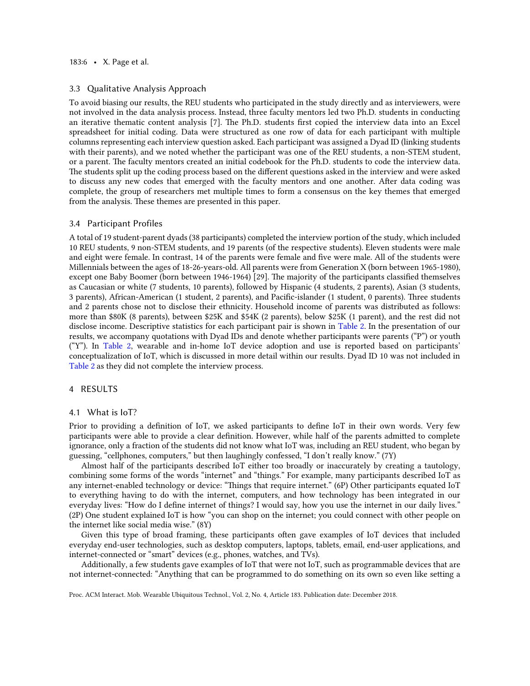#### 3.3 Qualitative Analysis Approach

To avoid biasing our results, the REU students who participated in the study directly and as interviewers, were not involved in the data analysis process. Instead, three faculty mentors led two Ph.D. students in conducting an iterative thematic content analysis [7]. The Ph.D. students first copied the interview data into an Excel spreadsheet for initial coding. Data were structured as one row of data for each participant with multiple columns representing each interview question asked. Each participant was assigned a Dyad ID (linking students with their parents), and we noted whether the participant was one of the REU students, a non-STEM student, or a parent. The faculty mentors created an initial codebook for the Ph.D. students to code the interview data. The students split up the coding process based on the different questions asked in the interview and were asked to discuss any new codes that emerged with the faculty mentors and one another. After data coding was complete, the group of researchers met multiple times to form a consensus on the key themes that emerged from the analysis. These themes are presented in this paper.

#### 3.4 Participant Profiles

A total of 19 student-parent dyads (38 participants) completed the interview portion of the study, which included 10 REU students, 9 non-STEM students, and 19 parents (of the respective students). Eleven students were male and eight were female. In contrast, 14 of the parents were female and five were male. All of the students were Millennials between the ages of 18-26-years-old. All parents were from Generation X (born between 1965-1980), except one Baby Boomer (born between 1946-1964) [29]. The majority of the participants classified themselves as Caucasian or white (7 students, 10 parents), followed by Hispanic (4 students, 2 parents), Asian (3 students, 3 parents), African-American (1 student, 2 parents), and Pacific-islander (1 student, 0 parents). Three students and 2 parents chose not to disclose their ethnicity. Household income of parents was distributed as follows: more than \$80K (8 parents), between \$25K and \$54K (2 parents), below \$25K (1 parent), and the rest did not disclose income. Descriptive statistics for each participant pair is shown in [Table 2.](#page-4-0) In the presentation of our results, we accompany quotations with Dyad IDs and denote whether participants were parents ("P") or youth ("Y"). In [Table 2,](#page-4-0) wearable and in-home IoT device adoption and use is reported based on participants' conceptualization of IoT, which is discussed in more detail within our results. Dyad ID 10 was not included in [Table 2](#page-4-0) as they did not complete the interview process.

#### 4 RESULTS

#### 4.1 What is IoT?

Prior to providing a definition of IoT, we asked participants to define IoT in their own words. Very few participants were able to provide a clear definition. However, while half of the parents admitted to complete ignorance, only a fraction of the students did not know what IoT was, including an REU student, who began by guessing, "cellphones, computers," but then laughingly confessed, "I don't really know." (7Y)

Almost half of the participants described IoT either too broadly or inaccurately by creating a tautology, combining some forms of the words "internet" and "things." For example, many participants described IoT as any internet-enabled technology or device: "Things that require internet." (6P) Other participants equated IoT to everything having to do with the internet, computers, and how technology has been integrated in our everyday lives: "How do I define internet of things? I would say, how you use the internet in our daily lives." (2P) One student explained IoT is how "you can shop on the internet; you could connect with other people on the internet like social media wise." (8Y)

Given this type of broad framing, these participants often gave examples of IoT devices that included everyday end-user technologies, such as desktop computers, laptops, tablets, email, end-user applications, and internet-connected or "smart" devices (e.g., phones, watches, and TVs).

Additionally, a few students gave examples of IoT that were not IoT, such as programmable devices that are not internet-connected: "Anything that can be programmed to do something on its own so even like setting a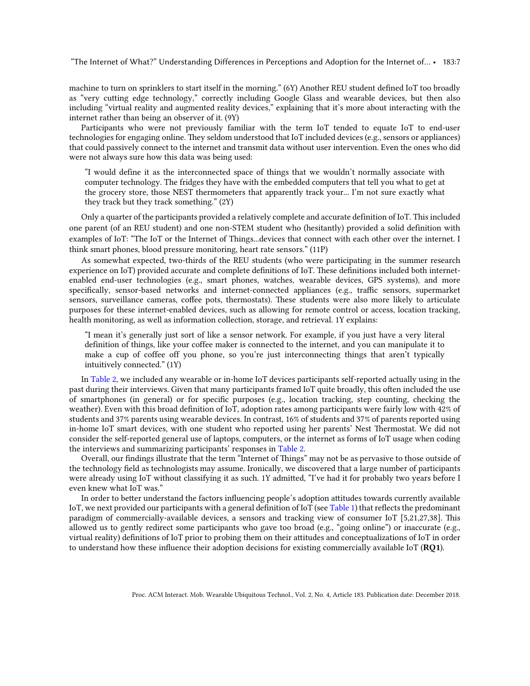machine to turn on sprinklers to start itself in the morning." (6Y) Another REU student defined IoT too broadly as "very cutting edge technology," correctly including Google Glass and wearable devices, but then also including "virtual reality and augmented reality devices," explaining that it's more about interacting with the internet rather than being an observer of it. (9Y)

Participants who were not previously familiar with the term IoT tended to equate IoT to end-user technologies for engaging online. They seldom understood that IoT included devices (e.g., sensors or appliances) that could passively connect to the internet and transmit data without user intervention. Even the ones who did were not always sure how this data was being used:

"I would define it as the interconnected space of things that we wouldn't normally associate with computer technology. The fridges they have with the embedded computers that tell you what to get at the grocery store, those NEST thermometers that apparently track your... I'm not sure exactly what they track but they track something." (2Y)

Only a quarter of the participants provided a relatively complete and accurate definition of IoT. This included one parent (of an REU student) and one non-STEM student who (hesitantly) provided a solid definition with examples of IoT: "The IoT or the Internet of Things...devices that connect with each other over the internet. I think smart phones, blood pressure monitoring, heart rate sensors." (11P)

As somewhat expected, two-thirds of the REU students (who were participating in the summer research experience on IoT) provided accurate and complete definitions of IoT. These definitions included both internetenabled end-user technologies (e.g., smart phones, watches, wearable devices, GPS systems), and more specifically, sensor-based networks and internet-connected appliances (e.g., traffic sensors, supermarket sensors, surveillance cameras, coffee pots, thermostats). These students were also more likely to articulate purposes for these internet-enabled devices, such as allowing for remote control or access, location tracking, health monitoring, as well as information collection, storage, and retrieval. 1Y explains:

"I mean it's generally just sort of like a sensor network. For example, if you just have a very literal definition of things, like your coffee maker is connected to the internet, and you can manipulate it to make a cup of coffee off you phone, so you're just interconnecting things that aren't typically intuitively connected." (1Y)

In [Table 2,](#page-4-0) we included any wearable or in-home IoT devices participants self-reported actually using in the past during their interviews. Given that many participants framed IoT quite broadly, this often included the use of smartphones (in general) or for specific purposes (e.g., location tracking, step counting, checking the weather). Even with this broad definition of IoT, adoption rates among participants were fairly low with 42% of students and 37% parents using wearable devices. In contrast, 16% of students and 37% of parents reported using in-home IoT smart devices, with one student who reported using her parents' Nest Thermostat. We did not consider the self-reported general use of laptops, computers, or the internet as forms of IoT usage when coding the interviews and summarizing participants' responses in [Table 2.](#page-4-0)

Overall, our findings illustrate that the term "Internet of Things" may not be as pervasive to those outside of the technology field as technologists may assume. Ironically, we discovered that a large number of participants were already using IoT without classifying it as such. 1Y admitted, "I've had it for probably two years before I even knew what IoT was."

In order to better understand the factors influencing people's adoption attitudes towards currently available IoT, we next provided our participants with a general definition of IoT (se[e Table 1\)](#page-3-0) that reflects the predominant paradigm of commercially-available devices, a sensors and tracking view of consumer IoT [5,21,27,38]. This allowed us to gently redirect some participants who gave too broad (e.g., "going online") or inaccurate (e.g., virtual reality) definitions of IoT prior to probing them on their attitudes and conceptualizations of IoT in order to understand how these influence their adoption decisions for existing commercially available IoT (RQ1).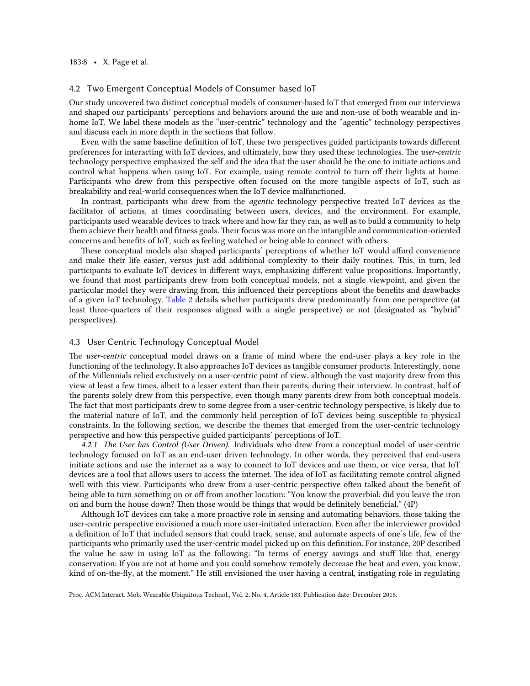#### 4.2 Two Emergent Conceptual Models of Consumer-based IoT

Our study uncovered two distinct conceptual models of consumer-based IoT that emerged from our interviews and shaped our participants' perceptions and behaviors around the use and non-use of both wearable and inhome IoT. We label these models as the "user-centric" technology and the "agentic" technology perspectives and discuss each in more depth in the sections that follow.

Even with the same baseline definition of IoT, these two perspectives guided participants towards different preferences for interacting with IoT devices, and ultimately, how they used these technologies. The *user-centric* technology perspective emphasized the self and the idea that the user should be the one to initiate actions and control what happens when using IoT. For example, using remote control to turn off their lights at home. Participants who drew from this perspective often focused on the more tangible aspects of IoT, such as breakability and real-world consequences when the IoT device malfunctioned.

In contrast, participants who drew from the *agentic* technology perspective treated IoT devices as the facilitator of actions, at times coordinating between users, devices, and the environment. For example, participants used wearable devices to track where and how far they ran, as well as to build a community to help them achieve their health and fitness goals. Their focus was more on the intangible and communication-oriented concerns and benefits of IoT, such as feeling watched or being able to connect with others.

These conceptual models also shaped participants' perceptions of whether IoT would afford convenience and make their life easier, versus just add additional complexity to their daily routines. This, in turn, led participants to evaluate IoT devices in different ways, emphasizing different value propositions. Importantly, we found that most participants drew from both conceptual models, not a single viewpoint, and given the particular model they were drawing from, this influenced their perceptions about the benefits and drawbacks of a given IoT technology. [Table 2](#page-4-0) details whether participants drew predominantly from one perspective (at least three-quarters of their responses aligned with a single perspective) or not (designated as "hybrid" perspectives).

# 4.3 User Centric Technology Conceptual Model

The *user-centric* conceptual model draws on a frame of mind where the end-user plays a key role in the functioning of the technology. It also approaches IoT devices as tangible consumer products. Interestingly, none of the Millennials relied exclusively on a user-centric point of view, although the vast majority drew from this view at least a few times, albeit to a lesser extent than their parents, during their interview. In contrast, half of the parents solely drew from this perspective, even though many parents drew from both conceptual models. The fact that most participants drew to some degree from a user-centric technology perspective, is likely due to the material nature of IoT, and the commonly held perception of IoT devices being susceptible to physical constraints. In the following section, we describe the themes that emerged from the user-centric technology perspective and how this perspective guided participants' perceptions of IoT.

*4.2.1 The User has Control (User Driven).* Individuals who drew from a conceptual model of user-centric technology focused on IoT as an end-user driven technology. In other words, they perceived that end-users initiate actions and use the internet as a way to connect to IoT devices and use them, or vice versa, that IoT devices are a tool that allows users to access the internet. The idea of IoT as facilitating remote control aligned well with this view. Participants who drew from a user-centric perspective often talked about the benefit of being able to turn something on or off from another location: "You know the proverbial: did you leave the iron on and burn the house down? Then those would be things that would be definitely beneficial." (4P)

Although IoT devices can take a more proactive role in sensing and automating behaviors, those taking the user-centric perspective envisioned a much more user-initiated interaction. Even after the interviewer provided a definition of IoT that included sensors that could track, sense, and automate aspects of one's life, few of the participants who primarily used the user-centric model picked up on this definition. For instance, 20P described the value he saw in using IoT as the following: "In terms of energy savings and stuff like that, energy conservation: If you are not at home and you could somehow remotely decrease the heat and even, you know, kind of on-the-fly, at the moment." He still envisioned the user having a central, instigating role in regulating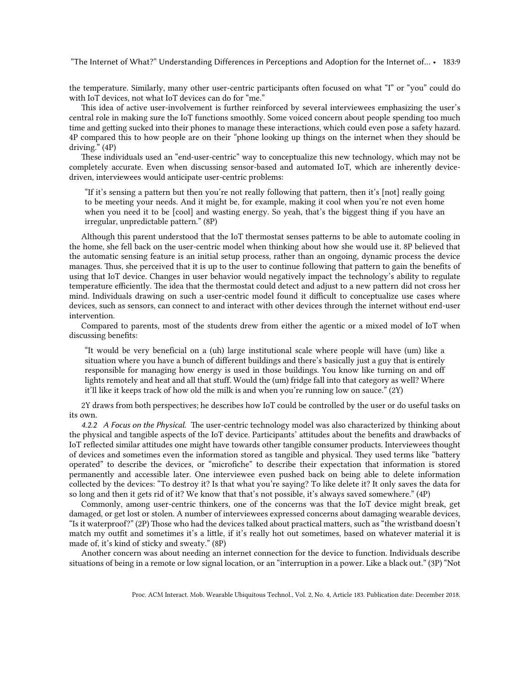the temperature. Similarly, many other user-centric participants often focused on what "I" or "you" could do with IoT devices, not what IoT devices can do for "me."

This idea of active user-involvement is further reinforced by several interviewees emphasizing the user's central role in making sure the IoT functions smoothly. Some voiced concern about people spending too much time and getting sucked into their phones to manage these interactions, which could even pose a safety hazard. 4P compared this to how people are on their "phone looking up things on the internet when they should be driving." (4P)

These individuals used an "end-user-centric" way to conceptualize this new technology, which may not be completely accurate. Even when discussing sensor-based and automated IoT, which are inherently devicedriven, interviewees would anticipate user-centric problems:

"If it's sensing a pattern but then you're not really following that pattern, then it's [not] really going to be meeting your needs. And it might be, for example, making it cool when you're not even home when you need it to be [cool] and wasting energy. So yeah, that's the biggest thing if you have an irregular, unpredictable pattern." (8P)

Although this parent understood that the IoT thermostat senses patterns to be able to automate cooling in the home, she fell back on the user-centric model when thinking about how she would use it. 8P believed that the automatic sensing feature is an initial setup process, rather than an ongoing, dynamic process the device manages. Thus, she perceived that it is up to the user to continue following that pattern to gain the benefits of using that IoT device. Changes in user behavior would negatively impact the technology's ability to regulate temperature efficiently. The idea that the thermostat could detect and adjust to a new pattern did not cross her mind. Individuals drawing on such a user-centric model found it difficult to conceptualize use cases where devices, such as sensors, can connect to and interact with other devices through the internet without end-user intervention.

Compared to parents, most of the students drew from either the agentic or a mixed model of IoT when discussing benefits:

"It would be very beneficial on a (uh) large institutional scale where people will have (um) like a situation where you have a bunch of different buildings and there's basically just a guy that is entirely responsible for managing how energy is used in those buildings. You know like turning on and off lights remotely and heat and all that stuff. Would the (um) fridge fall into that category as well? Where it'll like it keeps track of how old the milk is and when you're running low on sauce." (2Y)

2Y draws from both perspectives; he describes how IoT could be controlled by the user or do useful tasks on its own.

*4.2.2 A Focus on the Physical.* The user-centric technology model was also characterized by thinking about the physical and tangible aspects of the IoT device. Participants' attitudes about the benefits and drawbacks of IoT reflected similar attitudes one might have towards other tangible consumer products. Interviewees thought of devices and sometimes even the information stored as tangible and physical. They used terms like "battery operated" to describe the devices, or "microfiche" to describe their expectation that information is stored permanently and accessible later. One interviewee even pushed back on being able to delete information collected by the devices: "To destroy it? Is that what you're saying? To like delete it? It only saves the data for so long and then it gets rid of it? We know that that's not possible, it's always saved somewhere." (4P)

Commonly, among user-centric thinkers, one of the concerns was that the IoT device might break, get damaged, or get lost or stolen. A number of interviewees expressed concerns about damaging wearable devices, "Is it waterproof?" (2P) Those who had the devices talked about practical matters, such as "the wristband doesn't match my outfit and sometimes it's a little, if it's really hot out sometimes, based on whatever material it is made of, it's kind of sticky and sweaty." (8P)

Another concern was about needing an internet connection for the device to function. Individuals describe situations of being in a remote or low signal location, or an "interruption in a power. Like a black out." (3P) "Not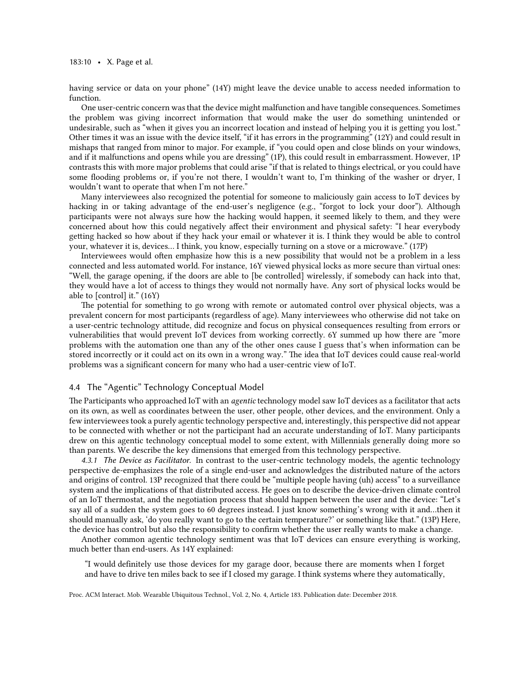#### 183:10 • X. Page et al.

having service or data on your phone" (14Y) might leave the device unable to access needed information to function.

One user-centric concern was that the device might malfunction and have tangible consequences. Sometimes the problem was giving incorrect information that would make the user do something unintended or undesirable, such as "when it gives you an incorrect location and instead of helping you it is getting you lost." Other times it was an issue with the device itself, "if it has errors in the programming" (12Y) and could result in mishaps that ranged from minor to major. For example, if "you could open and close blinds on your windows, and if it malfunctions and opens while you are dressing" (1P), this could result in embarrassment. However, 1P contrasts this with more major problems that could arise "if that is related to things electrical, or you could have some flooding problems or, if you're not there, I wouldn't want to, I'm thinking of the washer or dryer, I wouldn't want to operate that when I'm not here."

Many interviewees also recognized the potential for someone to maliciously gain access to IoT devices by hacking in or taking advantage of the end-user's negligence (e.g., "forgot to lock your door"). Although participants were not always sure how the hacking would happen, it seemed likely to them, and they were concerned about how this could negatively affect their environment and physical safety: "I hear everybody getting hacked so how about if they hack your email or whatever it is. I think they would be able to control your, whatever it is, devices… I think, you know, especially turning on a stove or a microwave." (17P)

Interviewees would often emphasize how this is a new possibility that would not be a problem in a less connected and less automated world. For instance, 16Y viewed physical locks as more secure than virtual ones: "Well, the garage opening, if the doors are able to [be controlled] wirelessly, if somebody can hack into that, they would have a lot of access to things they would not normally have. Any sort of physical locks would be able to [control] it." (16Y)

The potential for something to go wrong with remote or automated control over physical objects, was a prevalent concern for most participants (regardless of age). Many interviewees who otherwise did not take on a user-centric technology attitude, did recognize and focus on physical consequences resulting from errors or vulnerabilities that would prevent IoT devices from working correctly. 6Y summed up how there are "more problems with the automation one than any of the other ones cause I guess that's when information can be stored incorrectly or it could act on its own in a wrong way." The idea that IoT devices could cause real-world problems was a significant concern for many who had a user-centric view of IoT.

# 4.4 The "Agentic" Technology Conceptual Model

The Participants who approached IoT with an *agentic* technology model saw IoT devices as a facilitator that acts on its own, as well as coordinates between the user, other people, other devices, and the environment. Only a few interviewees took a purely agentic technology perspective and, interestingly, this perspective did not appear to be connected with whether or not the participant had an accurate understanding of IoT. Many participants drew on this agentic technology conceptual model to some extent, with Millennials generally doing more so than parents. We describe the key dimensions that emerged from this technology perspective.

*4.3.1 The Device as Facilitator.* In contrast to the user-centric technology models, the agentic technology perspective de-emphasizes the role of a single end-user and acknowledges the distributed nature of the actors and origins of control. 13P recognized that there could be "multiple people having (uh) access" to a surveillance system and the implications of that distributed access. He goes on to describe the device-driven climate control of an IoT thermostat, and the negotiation process that should happen between the user and the device: "Let's say all of a sudden the system goes to 60 degrees instead. I just know something's wrong with it and…then it should manually ask, 'do you really want to go to the certain temperature?' or something like that." (13P) Here, the device has control but also the responsibility to confirm whether the user really wants to make a change.

Another common agentic technology sentiment was that IoT devices can ensure everything is working, much better than end-users. As 14Y explained:

"I would definitely use those devices for my garage door, because there are moments when I forget and have to drive ten miles back to see if I closed my garage. I think systems where they automatically,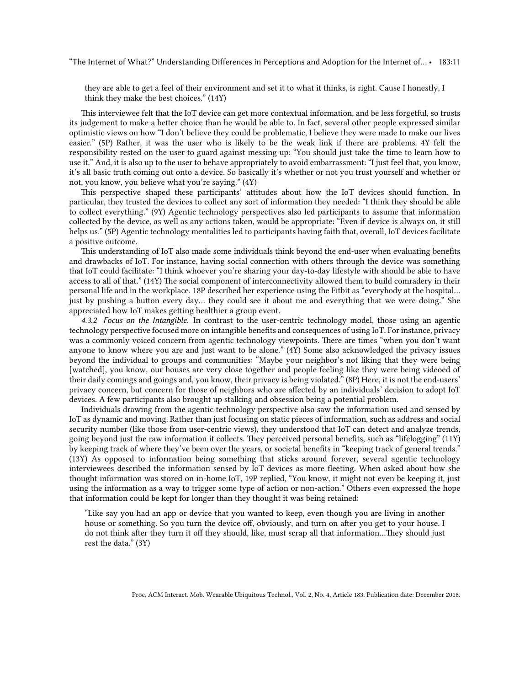they are able to get a feel of their environment and set it to what it thinks, is right. Cause I honestly, I think they make the best choices." (14Y)

This interviewee felt that the IoT device can get more contextual information, and be less forgetful, so trusts its judgement to make a better choice than he would be able to. In fact, several other people expressed similar optimistic views on how "I don't believe they could be problematic, I believe they were made to make our lives easier." (5P) Rather, it was the user who is likely to be the weak link if there are problems. 4Y felt the responsibility rested on the user to guard against messing up: "You should just take the time to learn how to use it." And, it is also up to the user to behave appropriately to avoid embarrassment: "I just feel that, you know, it's all basic truth coming out onto a device. So basically it's whether or not you trust yourself and whether or not, you know, you believe what you're saying." (4Y)

This perspective shaped these participants' attitudes about how the IoT devices should function. In particular, they trusted the devices to collect any sort of information they needed: "I think they should be able to collect everything." (9Y) Agentic technology perspectives also led participants to assume that information collected by the device, as well as any actions taken, would be appropriate: "Even if device is always on, it still helps us." (5P) Agentic technology mentalities led to participants having faith that, overall, IoT devices facilitate a positive outcome.

This understanding of IoT also made some individuals think beyond the end-user when evaluating benefits and drawbacks of IoT. For instance, having social connection with others through the device was something that IoT could facilitate: "I think whoever you're sharing your day-to-day lifestyle with should be able to have access to all of that." (14Y) The social component of interconnectivity allowed them to build comradery in their personal life and in the workplace. 18P described her experience using the Fitbit as "everybody at the hospital… just by pushing a button every day… they could see it about me and everything that we were doing." She appreciated how IoT makes getting healthier a group event.

*4.3.2 Focus on the Intangible.* In contrast to the user-centric technology model, those using an agentic technology perspective focused more on intangible benefits and consequences of using IoT. For instance, privacy was a commonly voiced concern from agentic technology viewpoints. There are times "when you don't want anyone to know where you are and just want to be alone." (4Y) Some also acknowledged the privacy issues beyond the individual to groups and communities: "Maybe your neighbor's not liking that they were being [watched], you know, our houses are very close together and people feeling like they were being videoed of their daily comings and goings and, you know, their privacy is being violated." (8P) Here, it is not the end-users' privacy concern, but concern for those of neighbors who are affected by an individuals' decision to adopt IoT devices. A few participants also brought up stalking and obsession being a potential problem.

Individuals drawing from the agentic technology perspective also saw the information used and sensed by IoT as dynamic and moving. Rather than just focusing on static pieces of information, such as address and social security number (like those from user-centric views), they understood that IoT can detect and analyze trends, going beyond just the raw information it collects. They perceived personal benefits, such as "lifelogging" (11Y) by keeping track of where they've been over the years, or societal benefits in "keeping track of general trends." (13Y) As opposed to information being something that sticks around forever, several agentic technology interviewees described the information sensed by IoT devices as more fleeting. When asked about how she thought information was stored on in-home IoT, 19P replied, "You know, it might not even be keeping it, just using the information as a way to trigger some type of action or non-action." Others even expressed the hope that information could be kept for longer than they thought it was being retained:

"Like say you had an app or device that you wanted to keep, even though you are living in another house or something. So you turn the device off, obviously, and turn on after you get to your house. I do not think after they turn it off they should, like, must scrap all that information…They should just rest the data." (3Y)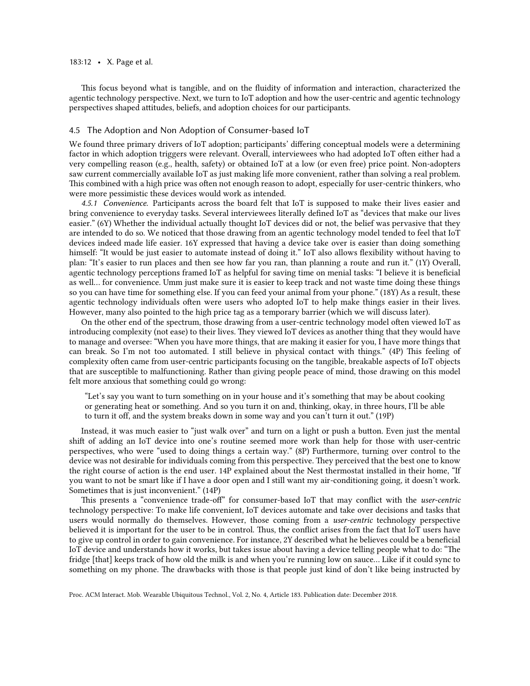#### 183:12 • X. Page et al.

This focus beyond what is tangible, and on the fluidity of information and interaction, characterized the agentic technology perspective. Next, we turn to IoT adoption and how the user-centric and agentic technology perspectives shaped attitudes, beliefs, and adoption choices for our participants.

#### 4.5 The Adoption and Non Adoption of Consumer-based IoT

We found three primary drivers of IoT adoption; participants' differing conceptual models were a determining factor in which adoption triggers were relevant. Overall, interviewees who had adopted IoT often either had a very compelling reason (e.g., health, safety) or obtained IoT at a low (or even free) price point. Non-adopters saw current commercially available IoT as just making life more convenient, rather than solving a real problem. This combined with a high price was often not enough reason to adopt, especially for user-centric thinkers, who were more pessimistic these devices would work as intended.

*4.5.1 Convenience.* Participants across the board felt that IoT is supposed to make their lives easier and bring convenience to everyday tasks. Several interviewees literally defined IoT as "devices that make our lives easier." (6Y) Whether the individual actually thought IoT devices did or not, the belief was pervasive that they are intended to do so. We noticed that those drawing from an agentic technology model tended to feel that IoT devices indeed made life easier. 16Y expressed that having a device take over is easier than doing something himself: "It would be just easier to automate instead of doing it." IoT also allows flexibility without having to plan: "It's easier to run places and then see how far you ran, than planning a route and run it." (1Y) Overall, agentic technology perceptions framed IoT as helpful for saving time on menial tasks: "I believe it is beneficial as well… for convenience. Umm just make sure it is easier to keep track and not waste time doing these things so you can have time for something else. If you can feed your animal from your phone." (18Y) As a result, these agentic technology individuals often were users who adopted IoT to help make things easier in their lives. However, many also pointed to the high price tag as a temporary barrier (which we will discuss later).

On the other end of the spectrum, those drawing from a user-centric technology model often viewed IoT as introducing complexity (not ease) to their lives. They viewed IoT devices as another thing that they would have to manage and oversee: "When you have more things, that are making it easier for you, I have more things that can break. So I'm not too automated. I still believe in physical contact with things." (4P) This feeling of complexity often came from user-centric participants focusing on the tangible, breakable aspects of IoT objects that are susceptible to malfunctioning. Rather than giving people peace of mind, those drawing on this model felt more anxious that something could go wrong:

"Let's say you want to turn something on in your house and it's something that may be about cooking or generating heat or something. And so you turn it on and, thinking, okay, in three hours, I'll be able to turn it off, and the system breaks down in some way and you can't turn it out." (19P)

Instead, it was much easier to "just walk over" and turn on a light or push a button. Even just the mental shift of adding an IoT device into one's routine seemed more work than help for those with user-centric perspectives, who were "used to doing things a certain way." (8P) Furthermore, turning over control to the device was not desirable for individuals coming from this perspective. They perceived that the best one to know the right course of action is the end user. 14P explained about the Nest thermostat installed in their home, "If you want to not be smart like if I have a door open and I still want my air-conditioning going, it doesn't work. Sometimes that is just inconvenient." (14P)

This presents a "convenience trade-off" for consumer-based IoT that may conflict with the *user-centric* technology perspective: To make life convenient, IoT devices automate and take over decisions and tasks that users would normally do themselves. However, those coming from a *user-centric* technology perspective believed it is important for the user to be in control. Thus, the conflict arises from the fact that IoT users have to give up control in order to gain convenience. For instance, 2Y described what he believes could be a beneficial IoT device and understands how it works, but takes issue about having a device telling people what to do: "The fridge [that] keeps track of how old the milk is and when you're running low on sauce… Like if it could sync to something on my phone. The drawbacks with those is that people just kind of don't like being instructed by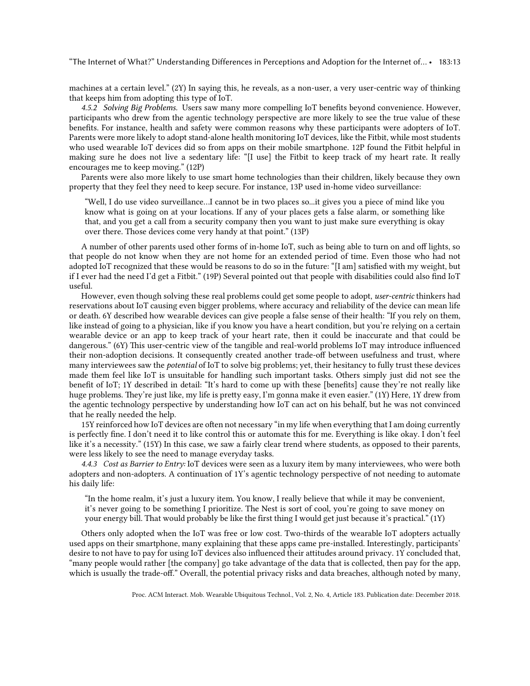machines at a certain level." (2Y) In saying this, he reveals, as a non-user, a very user-centric way of thinking that keeps him from adopting this type of IoT.

*4.5.2 Solving Big Problems.* Users saw many more compelling IoT benefits beyond convenience. However, participants who drew from the agentic technology perspective are more likely to see the true value of these benefits. For instance, health and safety were common reasons why these participants were adopters of IoT. Parents were more likely to adopt stand-alone health monitoring IoT devices, like the Fitbit, while most students who used wearable IoT devices did so from apps on their mobile smartphone. 12P found the Fitbit helpful in making sure he does not live a sedentary life: "[I use] the Fitbit to keep track of my heart rate. It really encourages me to keep moving." (12P)

Parents were also more likely to use smart home technologies than their children, likely because they own property that they feel they need to keep secure. For instance, 13P used in-home video surveillance:

"Well, I do use video surveillance…I cannot be in two places so...it gives you a piece of mind like you know what is going on at your locations. If any of your places gets a false alarm, or something like that, and you get a call from a security company then you want to just make sure everything is okay over there. Those devices come very handy at that point." (13P)

A number of other parents used other forms of in-home IoT, such as being able to turn on and off lights, so that people do not know when they are not home for an extended period of time. Even those who had not adopted IoT recognized that these would be reasons to do so in the future: "[I am] satisfied with my weight, but if I ever had the need I'd get a Fitbit." (19P) Several pointed out that people with disabilities could also find IoT useful.

However, even though solving these real problems could get some people to adopt, *user-centric* thinkers had reservations about IoT causing even bigger problems, where accuracy and reliability of the device can mean life or death. 6Y described how wearable devices can give people a false sense of their health: "If you rely on them, like instead of going to a physician, like if you know you have a heart condition, but you're relying on a certain wearable device or an app to keep track of your heart rate, then it could be inaccurate and that could be dangerous." (6Y) This user-centric view of the tangible and real-world problems IoT may introduce influenced their non-adoption decisions. It consequently created another trade-off between usefulness and trust, where many interviewees saw the *potential* of IoT to solve big problems; yet, their hesitancy to fully trust these devices made them feel like IoT is unsuitable for handling such important tasks. Others simply just did not see the benefit of IoT; 1Y described in detail: "It's hard to come up with these [benefits] cause they're not really like huge problems. They're just like, my life is pretty easy, I'm gonna make it even easier." (1Y) Here, 1Y drew from the agentic technology perspective by understanding how IoT can act on his behalf, but he was not convinced that he really needed the help.

15Y reinforced how IoT devices are often not necessary "in my life when everything that I am doing currently is perfectly fine. I don't need it to like control this or automate this for me. Everything is like okay. I don't feel like it's a necessity." (15Y) In this case, we saw a fairly clear trend where students, as opposed to their parents, were less likely to see the need to manage everyday tasks.

*4.4.3 Cost as Barrier to Entry:* IoT devices were seen as a luxury item by many interviewees, who were both adopters and non-adopters. A continuation of 1Y's agentic technology perspective of not needing to automate his daily life:

"In the home realm, it's just a luxury item. You know, I really believe that while it may be convenient, it's never going to be something I prioritize. The Nest is sort of cool, you're going to save money on your energy bill. That would probably be like the first thing I would get just because it's practical." (1Y)

Others only adopted when the IoT was free or low cost. Two-thirds of the wearable IoT adopters actually used apps on their smartphone, many explaining that these apps came pre-installed. Interestingly, participants' desire to not have to pay for using IoT devices also influenced their attitudes around privacy. 1Y concluded that, "many people would rather [the company] go take advantage of the data that is collected, then pay for the app, which is usually the trade-off." Overall, the potential privacy risks and data breaches, although noted by many,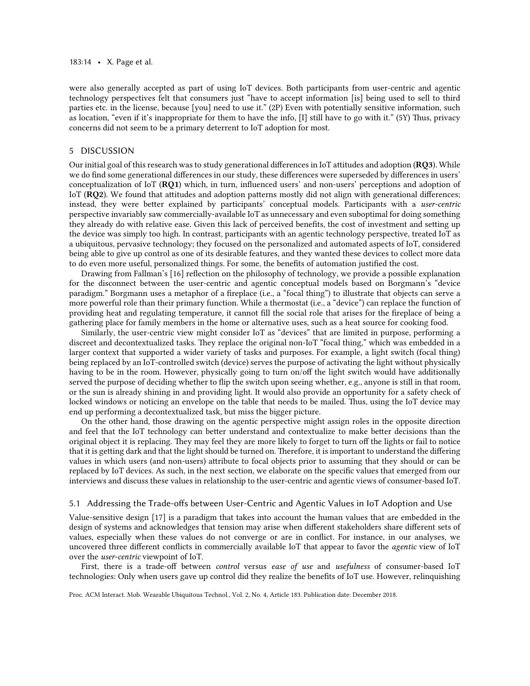#### 183:14 • X. Page et al.

were also generally accepted as part of using IoT devices. Both participants from user-centric and agentic technology perspectives felt that consumers just "have to accept information [is] being used to sell to third parties etc. in the license, because [you] need to use it." (2P) Even with potentially sensitive information, such as location, "even if it's inappropriate for them to have the info, [I] still have to go with it." (5Y) Thus, privacy concerns did not seem to be a primary deterrent to IoT adoption for most.

## 5 DISCUSSION

Our initial goal of this research was to study generational differences in IoT attitudes and adoption (RQ3). While we do find some generational differences in our study, these differences were superseded by differences in users' conceptualization of IoT (RQ1) which, in turn, influenced users' and non-users' perceptions and adoption of IoT (RQ2). We found that attitudes and adoption patterns mostly did not align with generational differences; instead, they were better explained by participants' conceptual models. Participants with a *user-centric* perspective invariably saw commercially-available IoT as unnecessary and even suboptimal for doing something they already do with relative ease. Given this lack of perceived benefits, the cost of investment and setting up the device was simply too high. In contrast, participants with an agentic technology perspective, treated IoT as a ubiquitous, pervasive technology; they focused on the personalized and automated aspects of IoT, considered being able to give up control as one of its desirable features, and they wanted these devices to collect more data to do even more useful, personalized things. For some, the benefits of automation justified the cost.

Drawing from Fallman's [16] reflection on the philosophy of technology, we provide a possible explanation for the disconnect between the user-centric and agentic conceptual models based on Borgmann's "device paradigm." Borgmann uses a metaphor of a fireplace (i.e., a "focal thing") to illustrate that objects can serve a more powerful role than their primary function. While a thermostat (i.e., a "device") can replace the function of providing heat and regulating temperature, it cannot fill the social role that arises for the fireplace of being a gathering place for family members in the home or alternative uses, such as a heat source for cooking food.

Similarly, the user-centric view might consider IoT as "devices" that are limited in purpose, performing a discreet and decontextualized tasks. They replace the original non-IoT "focal thing," which was embedded in a larger context that supported a wider variety of tasks and purposes. For example, a light switch (focal thing) being replaced by an IoT-controlled switch (device) serves the purpose of activating the light without physically having to be in the room. However, physically going to turn on/off the light switch would have additionally served the purpose of deciding whether to flip the switch upon seeing whether, e.g., anyone is still in that room, or the sun is already shining in and providing light. It would also provide an opportunity for a safety check of locked windows or noticing an envelope on the table that needs to be mailed. Thus, using the IoT device may end up performing a decontextualized task, but miss the bigger picture.

On the other hand, those drawing on the agentic perspective might assign roles in the opposite direction and feel that the IoT technology can better understand and contextualize to make better decisions than the original object it is replacing. They may feel they are more likely to forget to turn off the lights or fail to notice that it is getting dark and that the light should be turned on. Therefore, it is important to understand the differing values in which users (and non-users) attribute to focal objects prior to assuming that they should or can be replaced by IoT devices. As such, in the next section, we elaborate on the specific values that emerged from our interviews and discuss these values in relationship to the user-centric and agentic views of consumer-based IoT.

#### 5.1 Addressing the Trade-offs between User-Centric and Agentic Values in IoT Adoption and Use

Value-sensitive design [17] is a paradigm that takes into account the human values that are embedded in the design of systems and acknowledges that tension may arise when different stakeholders share different sets of values, especially when these values do not converge or are in conflict. For instance, in our analyses, we uncovered three different conflicts in commercially available IoT that appear to favor the *agentic* view of IoT over the *user-centric* viewpoint of IoT.

First, there is a trade-off between *control* versus *ease of use* and *usefulness* of consumer-based IoT technologies: Only when users gave up control did they realize the benefits of IoT use. However, relinquishing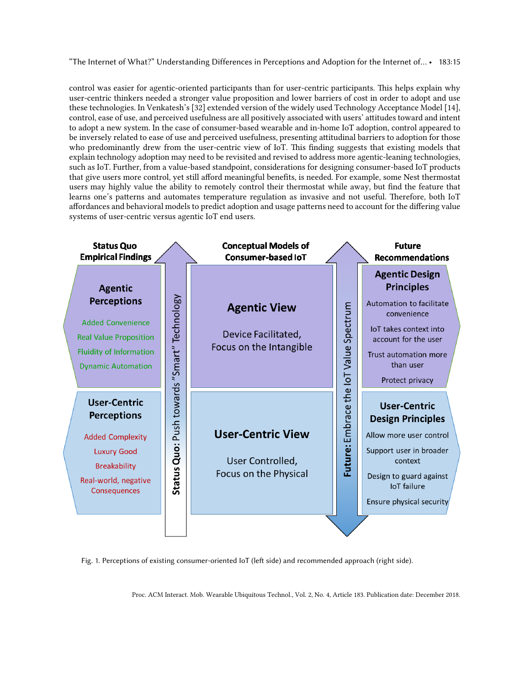<span id="page-14-0"></span>control was easier for agentic-oriented participants than for user-centric participants. This helps explain why user-centric thinkers needed a stronger value proposition and lower barriers of cost in order to adopt and use these technologies.In Venkatesh's [32] extended version of the widely used Technology Acceptance Model [14], control, ease of use, and perceived usefulness are all positively associated with users' attitudes toward and intent to adopt a new system. In the case of consumer-based wearable and in-home IoT adoption, control appeared to be inversely related to ease of use and perceived usefulness, presenting attitudinal barriers to adoption for those who predominantly drew from the user-centric view of IoT. This finding suggests that existing models that explain technology adoption may need to be revisited and revised to address more agentic-leaning technologies, such as IoT. Further, from a value-based standpoint, considerations for designing consumer-based IoT products that give users more control, yet still afford meaningful benefits, is needed. For example, some Nest thermostat users may highly value the ability to remotely control their thermostat while away, but find the feature that learns one's patterns and automates temperature regulation as invasive and not useful. Therefore, both IoT affordances and behavioral models to predict adoption and usage patterns need to account for the differing value systems of user-centric versus agentic IoT end users.



Fig. 1. Perceptions of existing consumer-oriented IoT (left side) and recommended approach (right side).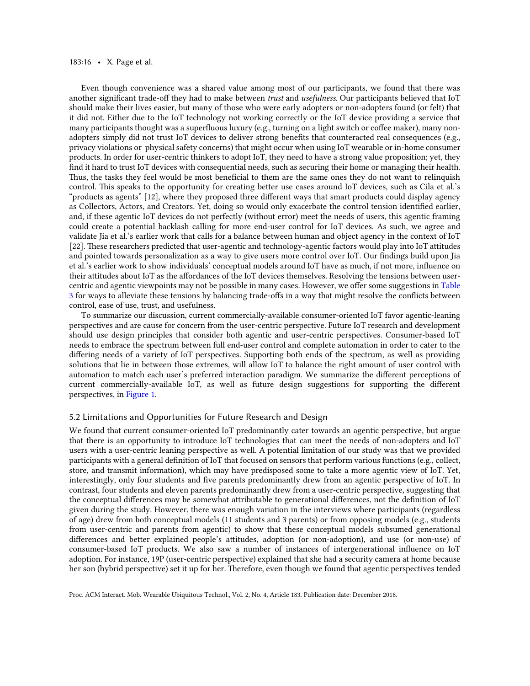#### 183:16 • X. Page et al.

Even though convenience was a shared value among most of our participants, we found that there was another significant trade-off they had to make between *trust* and *usefulness*. Our participants believed that IoT should make their lives easier, but many of those who were early adopters or non-adopters found (or felt) that it did not. Either due to the IoT technology not working correctly or the IoT device providing a service that many participants thought was a superfluous luxury (e.g., turning on a light switch or coffee maker), many nonadopters simply did not trust IoT devices to deliver strong benefits that counteracted real consequences (e.g., privacy violations or physical safety concerns) that might occur when using IoT wearable or in-home consumer products. In order for user-centric thinkers to adopt IoT, they need to have a strong value proposition; yet, they find it hard to trust IoT devices with consequential needs, such as securing their home or managing their health. Thus, the tasks they feel would be most beneficial to them are the same ones they do not want to relinquish control. This speaks to the opportunity for creating better use cases around IoT devices, such as Cila et al.'s "products as agents" [12], where they proposed three different ways that smart products could display agency as Collectors, Actors, and Creators. Yet, doing so would only exacerbate the control tension identified earlier, and, if these agentic IoT devices do not perfectly (without error) meet the needs of users, this agentic framing could create a potential backlash calling for more end-user control for IoT devices. As such, we agree and validate Jia et al.'s earlier work that calls for a balance between human and object agency in the context of IoT [22]. These researchers predicted that user-agentic and technology-agentic factors would play into IoT attitudes and pointed towards personalization as a way to give users more control over IoT. Our findings build upon Jia et al.'s earlier work to show individuals' conceptual models around IoT have as much, if not more, influence on their attitudes about IoT as the affordances of the IoT devices themselves. Resolving the tensions between usercentric and agentic viewpoints may not be possible in many cases. However, we offer some suggestions in [Table](#page-16-0)  [3](#page-16-0) for ways to alleviate these tensions by balancing trade-offs in a way that might resolve the conflicts between control, ease of use, trust, and usefulness.

To summarize our discussion, current commercially-available consumer-oriented IoT favor agentic-leaning perspectives and are cause for concern from the user-centric perspective. Future IoT research and development should use design principles that consider both agentic and user-centric perspectives. Consumer-based IoT needs to embrace the spectrum between full end-user control and complete automation in order to cater to the differing needs of a variety of IoT perspectives. Supporting both ends of the spectrum, as well as providing solutions that lie in between those extremes, will allow IoT to balance the right amount of user control with automation to match each user's preferred interaction paradigm. We summarize the different perceptions of current commercially-available IoT, as well as future design suggestions for supporting the different perspectives, in [Figure 1.](#page-14-0)

# 5.2 Limitations and Opportunities for Future Research and Design

We found that current consumer-oriented IoT predominantly cater towards an agentic perspective, but argue that there is an opportunity to introduce IoT technologies that can meet the needs of non-adopters and IoT users with a user-centric leaning perspective as well. A potential limitation of our study was that we provided participants with a general definition of IoT that focused on sensors that perform various functions (e.g., collect, store, and transmit information), which may have predisposed some to take a more agentic view of IoT. Yet, interestingly, only four students and five parents predominantly drew from an agentic perspective of IoT. In contrast, four students and eleven parents predominantly drew from a user-centric perspective, suggesting that the conceptual differences may be somewhat attributable to generational differences, not the definition of IoT given during the study. However, there was enough variation in the interviews where participants (regardless of age) drew from both conceptual models (11 students and 3 parents) or from opposing models (e.g., students from user-centric and parents from agentic) to show that these conceptual models subsumed generational differences and better explained people's attitudes, adoption (or non-adoption), and use (or non-use) of consumer-based IoT products. We also saw a number of instances of intergenerational influence on IoT adoption. For instance, 19P (user-centric perspective) explained that she had a security camera at home because her son (hybrid perspective) set it up for her. Therefore, even though we found that agentic perspectives tended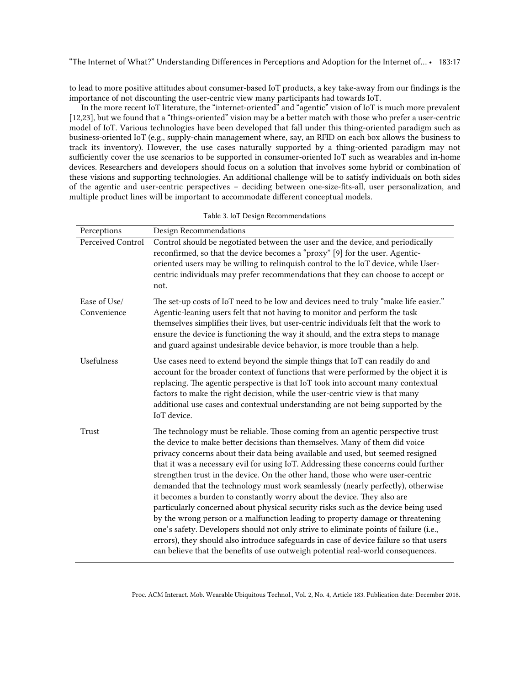to lead to more positive attitudes about consumer-based IoT products, a key take-away from our findings is the importance of not discounting the user-centric view many participants had towards IoT.

In the more recent IoT literature, the "internet-oriented" and "agentic" vision of IoT is much more prevalent [12,23], but we found that a "things-oriented" vision may be a better match with those who prefer a user-centric model of IoT. Various technologies have been developed that fall under this thing-oriented paradigm such as business-oriented IoT (e.g., supply-chain management where, say, an RFID on each box allows the business to track its inventory). However, the use cases naturally supported by a thing-oriented paradigm may not sufficiently cover the use scenarios to be supported in consumer-oriented IoT such as wearables and in-home devices. Researchers and developers should focus on a solution that involves some hybrid or combination of these visions and supporting technologies. An additional challenge will be to satisfy individuals on both sides of the agentic and user-centric perspectives – deciding between one-size-fits-all, user personalization, and multiple product lines will be important to accommodate different conceptual models.

<span id="page-16-0"></span>

| Perceptions                 | Design Recommendations                                                                                                                                                                                                                                                                                                                                                                                                                                                                                                                                                                                                                                                                                                                                                                                                                                                                                                                                                                                                                  |
|-----------------------------|-----------------------------------------------------------------------------------------------------------------------------------------------------------------------------------------------------------------------------------------------------------------------------------------------------------------------------------------------------------------------------------------------------------------------------------------------------------------------------------------------------------------------------------------------------------------------------------------------------------------------------------------------------------------------------------------------------------------------------------------------------------------------------------------------------------------------------------------------------------------------------------------------------------------------------------------------------------------------------------------------------------------------------------------|
| Perceived Control           | Control should be negotiated between the user and the device, and periodically                                                                                                                                                                                                                                                                                                                                                                                                                                                                                                                                                                                                                                                                                                                                                                                                                                                                                                                                                          |
|                             | reconfirmed, so that the device becomes a "proxy" [9] for the user. Agentic-                                                                                                                                                                                                                                                                                                                                                                                                                                                                                                                                                                                                                                                                                                                                                                                                                                                                                                                                                            |
|                             | oriented users may be willing to relinquish control to the IoT device, while User-                                                                                                                                                                                                                                                                                                                                                                                                                                                                                                                                                                                                                                                                                                                                                                                                                                                                                                                                                      |
|                             | centric individuals may prefer recommendations that they can choose to accept or<br>not.                                                                                                                                                                                                                                                                                                                                                                                                                                                                                                                                                                                                                                                                                                                                                                                                                                                                                                                                                |
| Ease of Use/<br>Convenience | The set-up costs of IoT need to be low and devices need to truly "make life easier."<br>Agentic-leaning users felt that not having to monitor and perform the task<br>themselves simplifies their lives, but user-centric individuals felt that the work to<br>ensure the device is functioning the way it should, and the extra steps to manage<br>and guard against undesirable device behavior, is more trouble than a help.                                                                                                                                                                                                                                                                                                                                                                                                                                                                                                                                                                                                         |
| Usefulness                  | Use cases need to extend beyond the simple things that IoT can readily do and<br>account for the broader context of functions that were performed by the object it is<br>replacing. The agentic perspective is that IoT took into account many contextual<br>factors to make the right decision, while the user-centric view is that many<br>additional use cases and contextual understanding are not being supported by the<br>IoT device.                                                                                                                                                                                                                                                                                                                                                                                                                                                                                                                                                                                            |
| Trust                       | The technology must be reliable. Those coming from an agentic perspective trust<br>the device to make better decisions than themselves. Many of them did voice<br>privacy concerns about their data being available and used, but seemed resigned<br>that it was a necessary evil for using IoT. Addressing these concerns could further<br>strengthen trust in the device. On the other hand, those who were user-centric<br>demanded that the technology must work seamlessly (nearly perfectly), otherwise<br>it becomes a burden to constantly worry about the device. They also are<br>particularly concerned about physical security risks such as the device being used<br>by the wrong person or a malfunction leading to property damage or threatening<br>one's safety. Developers should not only strive to eliminate points of failure (i.e.,<br>errors), they should also introduce safeguards in case of device failure so that users<br>can believe that the benefits of use outweigh potential real-world consequences. |

|  |  |  | Table 3. IoT Design Recommendations |
|--|--|--|-------------------------------------|
|--|--|--|-------------------------------------|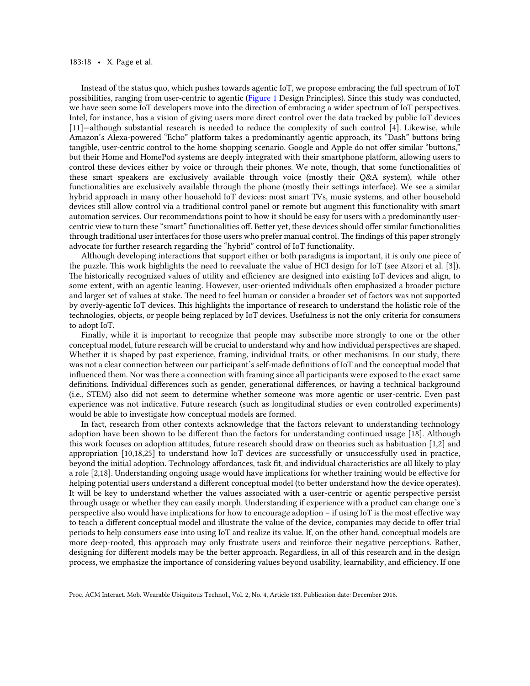#### 183:18 • X. Page et al.

Instead of the status quo, which pushes towards agentic IoT, we propose embracing the full spectrum of IoT possibilities, ranging from user-centric to agentic [\(Figure 1](#page-14-0) Design Principles). Since this study was conducted, we have seen some IoT developers move into the direction of embracing a wider spectrum of IoT perspectives. Intel, for instance, has a vision of giving users more direct control over the data tracked by public IoT devices [11]—although substantial research is needed to reduce the complexity of such control [4]. Likewise, while Amazon's Alexa-powered "Echo" platform takes a predominantly agentic approach, its "Dash" buttons bring tangible, user-centric control to the home shopping scenario. Google and Apple do not offer similar "buttons," but their Home and HomePod systems are deeply integrated with their smartphone platform, allowing users to control these devices either by voice or through their phones. We note, though, that some functionalities of these smart speakers are exclusively available through voice (mostly their Q&A system), while other functionalities are exclusively available through the phone (mostly their settings interface). We see a similar hybrid approach in many other household IoT devices: most smart TVs, music systems, and other household devices still allow control via a traditional control panel or remote but augment this functionality with smart automation services. Our recommendations point to how it should be easy for users with a predominantly usercentric view to turn these "smart" functionalities off. Better yet, these devices should offer similar functionalities through traditional user interfaces for those users who prefer manual control. The findings of this paper strongly advocate for further research regarding the "hybrid" control of IoT functionality.

Although developing interactions that support either or both paradigms is important, it is only one piece of the puzzle. This work highlights the need to reevaluate the value of HCI design for IoT (see Atzori et al. [3]). The historically recognized values of utility and efficiency are designed into existing IoT devices and align, to some extent, with an agentic leaning. However, user-oriented individuals often emphasized a broader picture and larger set of values at stake. The need to feel human or consider a broader set of factors was not supported by overly-agentic IoT devices. This highlights the importance of research to understand the holistic role of the technologies, objects, or people being replaced by IoT devices. Usefulness is not the only criteria for consumers to adopt IoT.

Finally, while it is important to recognize that people may subscribe more strongly to one or the other conceptual model, future research will be crucial to understand why and how individual perspectives are shaped. Whether it is shaped by past experience, framing, individual traits, or other mechanisms. In our study, there was not a clear connection between our participant's self-made definitions of IoT and the conceptual model that influenced them. Nor was there a connection with framing since all participants were exposed to the exact same definitions. Individual differences such as gender, generational differences, or having a technical background (i.e., STEM) also did not seem to determine whether someone was more agentic or user-centric. Even past experience was not indicative. Future research (such as longitudinal studies or even controlled experiments) would be able to investigate how conceptual models are formed.

In fact, research from other contexts acknowledge that the factors relevant to understanding technology adoption have been shown to be different than the factors for understanding continued usage [18]. Although this work focuses on adoption attitudes, future research should draw on theories such as habituation [1,2] and appropriation [10,18,25] to understand how IoT devices are successfully or unsuccessfully used in practice, beyond the initial adoption. Technology affordances, task fit, and individual characteristics are all likely to play a role [2,18]. Understanding ongoing usage would have implications for whether training would be effective for helping potential users understand a different conceptual model (to better understand how the device operates). It will be key to understand whether the values associated with a user-centric or agentic perspective persist through usage or whether they can easily morph. Understanding if experience with a product can change one's perspective also would have implications for how to encourage adoption – if using IoT is the most effective way to teach a different conceptual model and illustrate the value of the device, companies may decide to offer trial periods to help consumers ease into using IoT and realize its value. If, on the other hand, conceptual models are more deep-rooted, this approach may only frustrate users and reinforce their negative perceptions. Rather, designing for different models may be the better approach. Regardless, in all of this research and in the design process, we emphasize the importance of considering values beyond usability, learnability, and efficiency. If one

Proc. ACM Interact. Mob. Wearable Ubiquitous Technol., Vol. 2, No. 4, Article 183. Publication date: December 2018.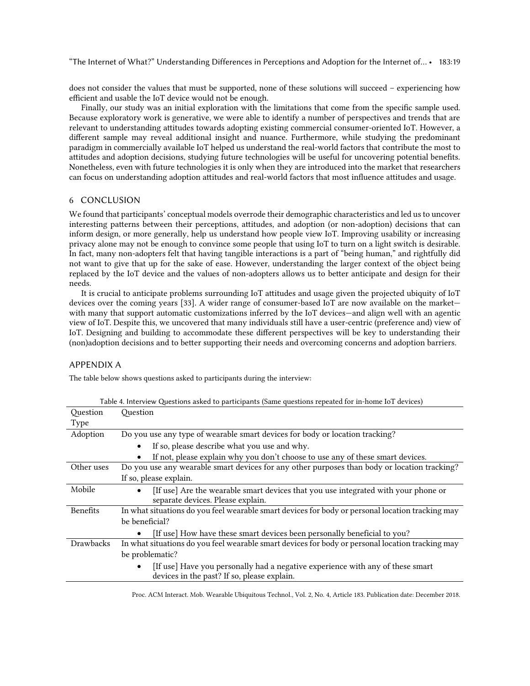does not consider the values that must be supported, none of these solutions will succeed – experiencing how efficient and usable the IoT device would not be enough.

Finally, our study was an initial exploration with the limitations that come from the specific sample used. Because exploratory work is generative, we were able to identify a number of perspectives and trends that are relevant to understanding attitudes towards adopting existing commercial consumer-oriented IoT. However, a different sample may reveal additional insight and nuance. Furthermore, while studying the predominant paradigm in commercially available IoT helped us understand the real-world factors that contribute the most to attitudes and adoption decisions, studying future technologies will be useful for uncovering potential benefits. Nonetheless, even with future technologies it is only when they are introduced into the market that researchers can focus on understanding adoption attitudes and real-world factors that most influence attitudes and usage.

# 6 CONCLUSION

We found that participants' conceptual models overrode their demographic characteristics and led us to uncover interesting patterns between their perceptions, attitudes, and adoption (or non-adoption) decisions that can inform design, or more generally, help us understand how people view IoT. Improving usability or increasing privacy alone may not be enough to convince some people that using IoT to turn on a light switch is desirable. In fact, many non-adopters felt that having tangible interactions is a part of "being human," and rightfully did not want to give that up for the sake of ease. However, understanding the larger context of the object being replaced by the IoT device and the values of non-adopters allows us to better anticipate and design for their needs.

It is crucial to anticipate problems surrounding IoT attitudes and usage given the projected ubiquity of IoT devices over the coming years [33]. A wider range of consumer-based IoT are now available on the market with many that support automatic customizations inferred by the IoT devices—and align well with an agentic view of IoT. Despite this, we uncovered that many individuals still have a user-centric (preference and) view of IoT. Designing and building to accommodate these different perspectives will be key to understanding their (non)adoption decisions and to better supporting their needs and overcoming concerns and adoption barriers.

## APPENDIX A

The table below shows questions asked to participants during the interview:

| Question        | Ouestion                                                                                                                                   |
|-----------------|--------------------------------------------------------------------------------------------------------------------------------------------|
| Type            |                                                                                                                                            |
| Adoption        | Do you use any type of wearable smart devices for body or location tracking?                                                               |
|                 | If so, please describe what you use and why.                                                                                               |
|                 | If not, please explain why you don't choose to use any of these smart devices.                                                             |
| Other uses      | Do you use any wearable smart devices for any other purposes than body or location tracking?                                               |
|                 | If so, please explain.                                                                                                                     |
| Mobile          | [If use] Are the wearable smart devices that you use integrated with your phone or<br>$\bullet$                                            |
|                 | separate devices. Please explain.                                                                                                          |
| <b>Benefits</b> | In what situations do you feel wearable smart devices for body or personal location tracking may                                           |
|                 | be beneficial?                                                                                                                             |
|                 | [If use] How have these smart devices been personally beneficial to you?                                                                   |
| Drawbacks       | In what situations do you feel wearable smart devices for body or personal location tracking may                                           |
|                 | be problematic?                                                                                                                            |
|                 | [If use] Have you personally had a negative experience with any of these smart<br>$\bullet$<br>devices in the past? If so, please explain. |

Table 4. Interview Questions asked to participants (Same questions repeated for in-home IoT devices)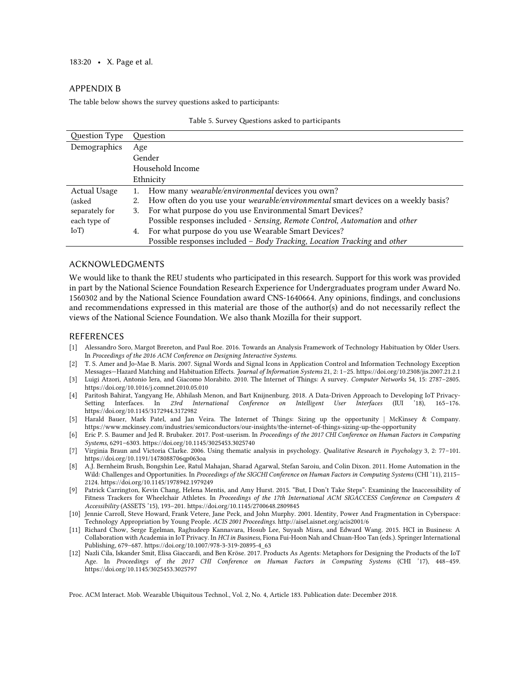## 183:20 • X. Page et al.

# APPENDIX B

The table below shows the survey questions asked to participants:

|  | Table 5. Survey Questions asked to participants |  |  |  |
|--|-------------------------------------------------|--|--|--|
|--|-------------------------------------------------|--|--|--|

| Question Type  | Ouestion         |                                                                                   |  |  |
|----------------|------------------|-----------------------------------------------------------------------------------|--|--|
| Demographics   | Age              |                                                                                   |  |  |
|                |                  | Gender                                                                            |  |  |
|                | Household Income |                                                                                   |  |  |
|                | Ethnicity        |                                                                                   |  |  |
| Actual Usage   |                  | How many wearable/environmental devices you own?                                  |  |  |
| (asked         |                  | How often do you use your wearable/environmental smart devices on a weekly basis? |  |  |
| separately for | 3.               | For what purpose do you use Environmental Smart Devices?                          |  |  |
| each type of   |                  | Possible responses included - Sensing, Remote Control, Automation and other       |  |  |
| $IoT$ )        | 4.               | For what purpose do you use Wearable Smart Devices?                               |  |  |
|                |                  | Possible responses included - Body Tracking, Location Tracking and other          |  |  |

# ACKNOWLEDGMENTS

We would like to thank the REU students who participated in this research. Support for this work was provided in part by the National Science Foundation Research Experience for Undergraduates program under Award No. 1560302 and by the National Science Foundation award CNS-1640664. Any opinions, findings, and conclusions and recommendations expressed in this material are those of the author(s) and do not necessarily reflect the views of the National Science Foundation. We also thank Mozilla for their support.

## REFERENCES

- [1] Alessandro Soro, Margot Brereton, and Paul Roe. 2016. Towards an Analysis Framework of Technology Habituation by Older Users. In *Proceedings of the 2016 ACM Conference on Designing Interactive Systems*.
- [2] T. S. Amer and Jo-Mae B. Maris. 2007. Signal Words and Signal Icons in Application Control and Information Technology Exception Messages—Hazard Matching and Habituation Effects. *Journal of Information Systems* 21, 2: 1–25. https://doi.org/10.2308/jis.2007.21.2.1
- [3] Luigi Atzori, Antonio Iera, and Giacomo Morabito. 2010. The Internet of Things: A survey. *Computer Networks* 54, 15: 2787–2805. https://doi.org/10.1016/j.comnet.2010.05.010
- [4] Paritosh Bahirat, Yangyang He, Abhilash Menon, and Bart Knijnenburg. 2018. A Data-Driven Approach to Developing IoT Privacy-Setting Interfaces. In *23rd International Conference on Intelligent User Interfaces* (IUI '18), 165–176. https://doi.org/10.1145/3172944.3172982
- [5] Harald Bauer, Mark Patel, and Jan Veira. The Internet of Things: Sizing up the opportunity | McKinsey & Company. https://www.mckinsey.com/industries/semiconductors/our-insights/the-internet-of-things-sizing-up-the-opportunity
- [6] Eric P. S. Baumer and Jed R. Brubaker. 2017. Post-userism. In *Proceedings of the 2017 CHI Conference on Human Factors in Computing Systems*, 6291–6303. https://doi.org/10.1145/3025453.3025740
- [7] Virginia Braun and Victoria Clarke. 2006. Using thematic analysis in psychology. *Qualitative Research in Psychology* 3, 2: 77–101. https://doi.org/10.1191/1478088706qp063oa
- [8] A.J. Bernheim Brush, Bongshin Lee, Ratul Mahajan, Sharad Agarwal, Stefan Saroiu, and Colin Dixon. 2011. Home Automation in the Wild: Challenges and Opportunities. In *Proceedings of the SIGCHI Conference on Human Factors in Computing Systems* (CHI '11), 2115– 2124. https://doi.org/10.1145/1978942.1979249
- [9] Patrick Carrington, Kevin Chang, Helena Mentis, and Amy Hurst. 2015. "But, I Don't Take Steps": Examining the Inaccessibility of Fitness Trackers for Wheelchair Athletes. In *Proceedings of the 17th International ACM SIGACCESS Conference on Computers & Accessibility* (ASSETS '15), 193–201. https://doi.org/10.1145/2700648.2809845
- [10] Jennie Carroll, Steve Howard, Frank Vetere, Jane Peck, and John Murphy. 2001. Identity, Power And Fragmentation in Cyberspace: Technology Appropriation by Young People. *ACIS 2001 Proceedings*. http://aisel.aisnet.org/acis2001/6
- [11] Richard Chow, Serge Egelman, Raghudeep Kannavara, Hosub Lee, Suyash Misra, and Edward Wang. 2015. HCI in Business: A Collaboration with Academia in IoT Privacy. In *HCI in Business*, Fiona Fui-Hoon Nah and Chuan-Hoo Tan (eds.). Springer International Publishing, 679–687. https://doi.org/10.1007/978-3-319-20895-4\_63
- [12] Nazli Cila, Iskander Smit, Elisa Giaccardi, and Ben Kröse. 2017. Products As Agents: Metaphors for Designing the Products of the IoT Age. In *Proceedings of the 2017 CHI Conference on Human Factors in Computing Systems* (CHI '17), 448–459. https://doi.org/10.1145/3025453.3025797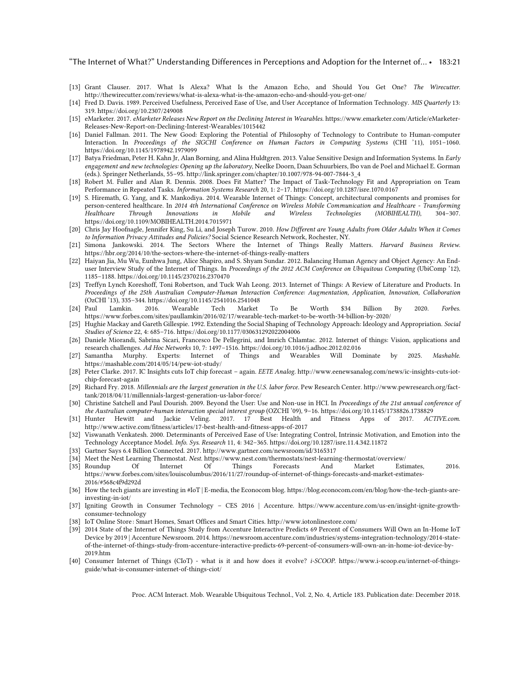- [13] Grant Clauser. 2017. What Is Alexa? What Is the Amazon Echo, and Should You Get One? *The Wirecutter*. http://thewirecutter.com/reviews/what-is-alexa-what-is-the-amazon-echo-and-should-you-get-one/
- [14] Fred D. Davis. 1989. Perceived Usefulness, Perceived Ease of Use, and User Acceptance of Information Technology. *MIS Quarterly* 13: 319. https://doi.org/10.2307/249008
- [15] eMarketer. 2017. *eMarketer Releases New Report on the Declining Interest in Wearables*. https://www.emarketer.com/Article/eMarketer-Releases-New-Report-on-Declining-Interest-Wearables/1015442
- [16] Daniel Fallman. 2011. The New Good: Exploring the Potential of Philosophy of Technology to Contribute to Human-computer Interaction. In *Proceedings of the SIGCHI Conference on Human Factors in Computing Systems* (CHI '11), 1051–1060. https://doi.org/10.1145/1978942.1979099
- [17] Batya Friedman, Peter H. Kahn Jr, Alan Borning, and Alina Huldtgren. 2013. Value Sensitive Design and Information Systems. In *Early engagement and new technologies: Opening up the laboratory*, Neelke Doorn, Daan Schuurbiers, Ibo van de Poel and Michael E. Gorman (eds.). Springer Netherlands, 55–95. http://link.springer.com/chapter/10.1007/978-94-007-7844-3\_4
- [18] Robert M. Fuller and Alan R. Dennis. 2008. Does Fit Matter? The Impact of Task-Technology Fit and Appropriation on Team Performance in Repeated Tasks. *Information Systems Research* 20, 1: 2–17. https://doi.org/10.1287/isre.1070.0167
- [19] S. Hiremath, G. Yang, and K. Mankodiya. 2014. Wearable Internet of Things: Concept, architectural components and promises for person-centered healthcare. In *2014 4th International Conference on Wireless Mobile Communication and Healthcare - Transforming Healthcare Through Innovations in Mobile and Wireless Technologies (MOBIHEALTH)*, 304–307. https://doi.org/10.1109/MOBIHEALTH.2014.7015971
- [20] Chris Jay Hoofnagle, Jennifer King, Su Li, and Joseph Turow. 2010. *How Different are Young Adults from Older Adults When it Comes to Information Privacy Attitudes and Policies?* Social Science Research Network, Rochester, NY.
- [21] Simona Jankowski. 2014. The Sectors Where the Internet of Things Really Matters. *Harvard Business Review*. https://hbr.org/2014/10/the-sectors-where-the-internet-of-things-really-matters
- [22] Haiyan Jia, Mu Wu, Eunhwa Jung, Alice Shapiro, and S. Shyam Sundar. 2012. Balancing Human Agency and Object Agency: An Enduser Interview Study of the Internet of Things. In *Proceedings of the 2012 ACM Conference on Ubiquitous Computing* (UbiComp '12), 1185–1188. https://doi.org/10.1145/2370216.2370470
- [23] Treffyn Lynch Koreshoff, Toni Robertson, and Tuck Wah Leong. 2013. Internet of Things: A Review of Literature and Products. In *Proceedings of the 25th Australian Computer-Human Interaction Conference: Augmentation, Application, Innovation, Collaboration* (OzCHI '13), 335–344. https://doi.org/10.1145/2541016.2541048
- [24] Paul Lamkin. 2016. Wearable Tech Market To Be Worth \$34 Billion By 2020. *Forbes*. https://www.forbes.com/sites/paullamkin/2016/02/17/wearable-tech-market-to-be-worth-34-billion-by-2020/
- [25] Hughie Mackay and Gareth Gillespie. 1992. Extending the Social Shaping of Technology Approach: Ideology and Appropriation. *Social Studies of Science* 22, 4: 685–716. https://doi.org/10.1177/030631292022004006
- [26] Daniele Miorandi, Sabrina Sicari, Francesco De Pellegrini, and Imrich Chlamtac. 2012. Internet of things: Vision, applications and research challenges. *Ad Hoc Networks* 10, 7: 1497–1516. https://doi.org/10.1016/j.adhoc.2012.02.016
- [27] Samantha Murphy. Experts: Internet of Things and Wearables Will Dominate by 2025. *Mashable*. https://mashable.com/2014/05/14/pew-iot-study/
- [28] Peter Clarke. 2017. IC Insights cuts IoT chip forecast again. *EETE Analog*. http://www.eenewsanalog.com/news/ic-insights-cuts-iotchip-forecast-again
- [29] Richard Fry. 2018. *Millennials are the largest generation in the U.S. labor force*. Pew Research Center. http://www.pewresearch.org/facttank/2018/04/11/millennials-largest-generation-us-labor-force/
- [30] Christine Satchell and Paul Dourish. 2009. Beyond the User: Use and Non-use in HCI. In *Proceedings of the 21st annual conference of the Australian computer-human interaction special interest group* (OZCHI '09), 9–16. https://doi.org/10.1145/1738826.1738829
- [31] Hunter Hewitt and Jackie Veling. 2017. 17 Best Health and Fitness Apps of 2017. *ACTIVE.com*. http://www.active.com/fitness/articles/17-best-health-and-fitness-apps-of-2017
- [32] Viswanath Venkatesh. 2000. Determinants of Perceived Ease of Use: Integrating Control, Intrinsic Motivation, and Emotion into the Technology Acceptance Model. *Info. Sys. Research* 11, 4: 342–365. https://doi.org/10.1287/isre.11.4.342.11872
- [33] Gartner Says 6.4 Billion Connected. 2017. http://www.gartner.com/newsroom/id/3165317
- [34] Meet the Nest Learning Thermostat. *Nest*. https://www.nest.com/thermostats/nest-learning-thermostat/overview/
- [35] Roundup Of Internet Of Things Forecasts And Market Estimates, 2016. https://www.forbes.com/sites/louiscolumbus/2016/11/27/roundup-of-internet-of-things-forecasts-and-market-estimates-2016/#568c4f9d292d
- [36] How the tech giants are investing in #IoT | E-media, the Econocom blog. https://blog.econocom.com/en/blog/how-the-tech-giants-areinvesting-in-iot/
- [37] Igniting Growth in Consumer Technology CES 2016 | Accenture. https://www.accenture.com/us-en/insight-ignite-growthconsumer-technology
- [38] IoT Online Store : Smart Homes, Smart Offices and Smart Cities. http://www.iotonlinestore.com/
- [39] 2014 State of the Internet of Things Study from Accenture Interactive Predicts 69 Percent of Consumers Will Own an In-Home IoT Device by 2019 | Accenture Newsroom. 2014. https://newsroom.accenture.com/industries/systems-integration-technology/2014-stateof-the-internet-of-things-study-from-accenture-interactive-predicts-69-percent-of-consumers-will-own-an-in-home-iot-device-by-2019.htm
- [40] Consumer Internet of Things (CIoT) what is it and how does it evolve? *i-SCOOP*. https://www.i-scoop.eu/internet-of-thingsguide/what-is-consumer-internet-of-things-ciot/